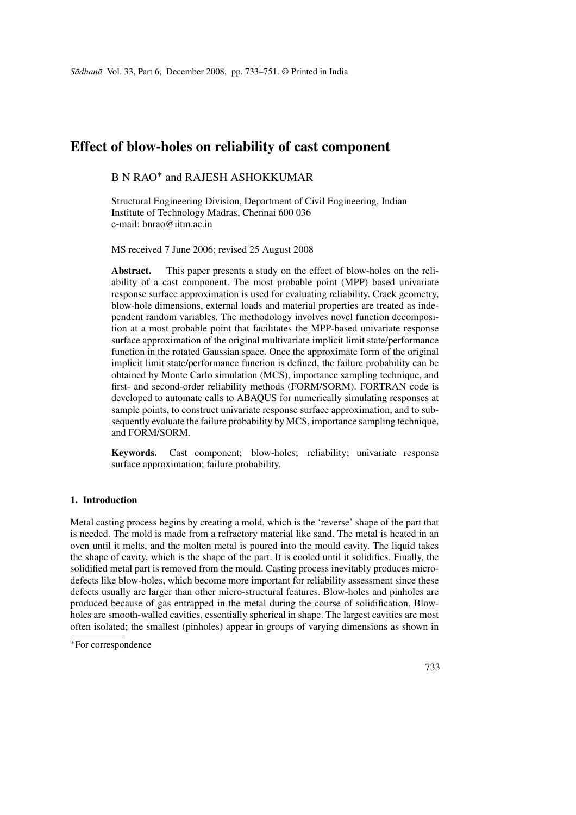# **Effect of blow-holes on reliability of cast component**

## B N RAO<sup>∗</sup> and RAJESH ASHOKKUMAR

Structural Engineering Division, Department of Civil Engineering, Indian Institute of Technology Madras, Chennai 600 036 e-mail: bnrao@iitm.ac.in

MS received 7 June 2006; revised 25 August 2008

**Abstract.** This paper presents a study on the effect of blow-holes on the reliability of a cast component. The most probable point (MPP) based univariate response surface approximation is used for evaluating reliability. Crack geometry, blow-hole dimensions, external loads and material properties are treated as independent random variables. The methodology involves novel function decomposition at a most probable point that facilitates the MPP-based univariate response surface approximation of the original multivariate implicit limit state/performance function in the rotated Gaussian space. Once the approximate form of the original implicit limit state/performance function is defined, the failure probability can be obtained by Monte Carlo simulation (MCS), importance sampling technique, and first- and second-order reliability methods (FORM/SORM). FORTRAN code is developed to automate calls to ABAQUS for numerically simulating responses at sample points, to construct univariate response surface approximation, and to subsequently evaluate the failure probability by MCS, importance sampling technique, and FORM/SORM.

**Keywords.** Cast component; blow-holes; reliability; univariate response surface approximation; failure probability.

## **1. Introduction**

Metal casting process begins by creating a mold, which is the 'reverse' shape of the part that is needed. The mold is made from a refractory material like sand. The metal is heated in an oven until it melts, and the molten metal is poured into the mould cavity. The liquid takes the shape of cavity, which is the shape of the part. It is cooled until it solidifies. Finally, the solidified metal part is removed from the mould. Casting process inevitably produces microdefects like blow-holes, which become more important for reliability assessment since these defects usually are larger than other micro-structural features. Blow-holes and pinholes are produced because of gas entrapped in the metal during the course of solidification. Blowholes are smooth-walled cavities, essentially spherical in shape. The largest cavities are most often isolated; the smallest (pinholes) appear in groups of varying dimensions as shown in

<sup>∗</sup>For correspondence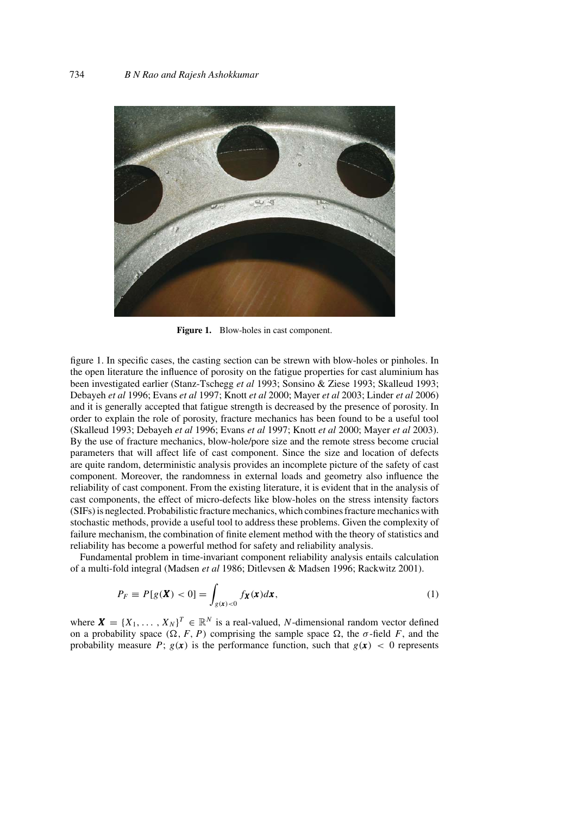

**Figure 1.** Blow-holes in cast component.

figure 1. In specific cases, the casting section can be strewn with blow-holes or pinholes. In the open literature the influence of porosity on the fatigue properties for cast aluminium has been investigated earlier (Stanz-Tschegg *et al* 1993; Sonsino & Ziese 1993; Skalleud 1993; Debayeh *et al* 1996; Evans *et al* 1997; Knott *et al* 2000; Mayer *et al* 2003; Linder *et al* 2006) and it is generally accepted that fatigue strength is decreased by the presence of porosity. In order to explain the role of porosity, fracture mechanics has been found to be a useful tool (Skalleud 1993; Debayeh *et al* 1996; Evans *et al* 1997; Knott *et al* 2000; Mayer *et al* 2003). By the use of fracture mechanics, blow-hole/pore size and the remote stress become crucial parameters that will affect life of cast component. Since the size and location of defects are quite random, deterministic analysis provides an incomplete picture of the safety of cast component. Moreover, the randomness in external loads and geometry also influence the reliability of cast component. From the existing literature, it is evident that in the analysis of cast components, the effect of micro-defects like blow-holes on the stress intensity factors (SIFs) is neglected. Probabilistic fracture mechanics, which combines fracture mechanics with stochastic methods, provide a useful tool to address these problems. Given the complexity of failure mechanism, the combination of finite element method with the theory of statistics and reliability has become a powerful method for safety and reliability analysis.

Fundamental problem in time-invariant component reliability analysis entails calculation of a multi-fold integral (Madsen *et al* 1986; Ditlevsen & Madsen 1996; Rackwitz 2001).

$$
P_F \equiv P[g(\mathbf{X}) < 0] = \int_{g(\mathbf{x}) < 0} f_{\mathbf{X}}(\mathbf{x}) d\mathbf{x},\tag{1}
$$

where  $\mathbf{X} = \{X_1, \ldots, X_N\}^T \in \mathbb{R}^N$  is a real-valued, N-dimensional random vector defined on a probability space  $(\Omega, F, P)$  comprising the sample space  $\Omega$ , the  $\sigma$ -field F, and the probability measure P;  $g(x)$  is the performance function, such that  $g(x) < 0$  represents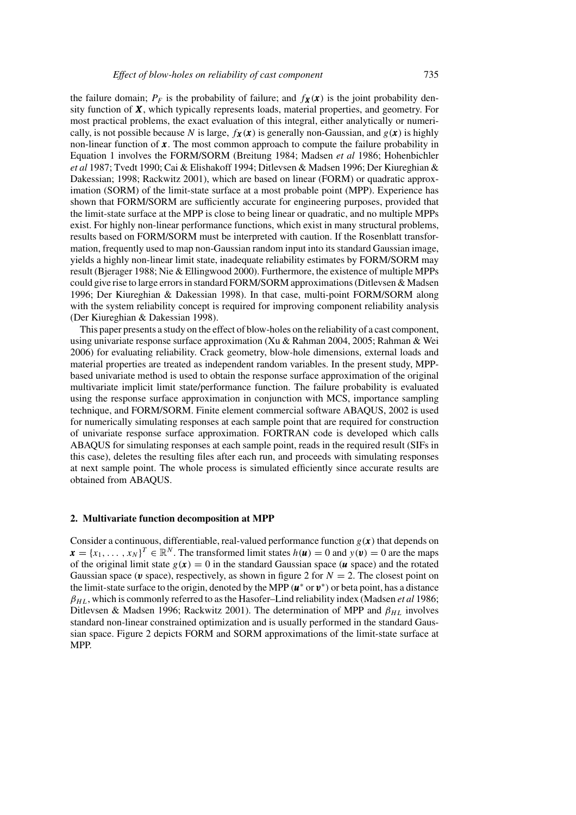the failure domain;  $P_F$  is the probability of failure; and  $f_X(x)$  is the joint probability density function of  $X$ , which typically represents loads, material properties, and geometry. For most practical problems, the exact evaluation of this integral, either analytically or numerically, is not possible because N is large,  $f_{\mathbf{X}}(\mathbf{x})$  is generally non-Gaussian, and  $g(\mathbf{x})$  is highly non-linear function of  $x$ . The most common approach to compute the failure probability in Equation 1 involves the FORM/SORM (Breitung 1984; Madsen *et al* 1986; Hohenbichler *et al* 1987; Tvedt 1990; Cai & Elishakoff 1994; Ditlevsen & Madsen 1996; Der Kiureghian & Dakessian; 1998; Rackwitz 2001), which are based on linear (FORM) or quadratic approximation (SORM) of the limit-state surface at a most probable point (MPP). Experience has shown that FORM/SORM are sufficiently accurate for engineering purposes, provided that the limit-state surface at the MPP is close to being linear or quadratic, and no multiple MPPs exist. For highly non-linear performance functions, which exist in many structural problems, results based on FORM/SORM must be interpreted with caution. If the Rosenblatt transformation, frequently used to map non-Gaussian random input into its standard Gaussian image, yields a highly non-linear limit state, inadequate reliability estimates by FORM/SORM may result (Bjerager 1988; Nie & Ellingwood 2000). Furthermore, the existence of multiple MPPs could give rise to large errors in standard FORM/SORM approximations (Ditlevsen & Madsen 1996; Der Kiureghian & Dakessian 1998). In that case, multi-point FORM/SORM along with the system reliability concept is required for improving component reliability analysis (Der Kiureghian & Dakessian 1998).

This paper presents a study on the effect of blow-holes on the reliability of a cast component, using univariate response surface approximation (Xu & Rahman 2004, 2005; Rahman & Wei 2006) for evaluating reliability. Crack geometry, blow-hole dimensions, external loads and material properties are treated as independent random variables. In the present study, MPPbased univariate method is used to obtain the response surface approximation of the original multivariate implicit limit state/performance function. The failure probability is evaluated using the response surface approximation in conjunction with MCS, importance sampling technique, and FORM/SORM. Finite element commercial software ABAQUS, 2002 is used for numerically simulating responses at each sample point that are required for construction of univariate response surface approximation. FORTRAN code is developed which calls ABAQUS for simulating responses at each sample point, reads in the required result (SIFs in this case), deletes the resulting files after each run, and proceeds with simulating responses at next sample point. The whole process is simulated efficiently since accurate results are obtained from ABAQUS.

#### **2. Multivariate function decomposition at MPP**

Consider a continuous, differentiable, real-valued performance function  $g(x)$  that depends on  $\mathbf{x} = \{x_1, \ldots, x_N\}^T \in \mathbb{R}^N$ . The transformed limit states  $h(\mathbf{u}) = 0$  and  $y(\mathbf{v}) = 0$  are the maps of the original limit state  $g(x) = 0$  in the standard Gaussian space (u space) and the rotated Gaussian space ( $\nu$  space), respectively, as shown in figure 2 for  $N = 2$ . The closest point on the limit-state surface to the origin, denoted by the MPP ( $u^*$  or  $v^*$ ) or beta point, has a distance  $\beta_{HL}$ , which is commonly referred to as the Hasofer–Lind reliability index (Madsen *et al* 1986; Ditlevsen & Madsen 1996; Rackwitz 2001). The determination of MPP and  $\beta_{HL}$  involves standard non-linear constrained optimization and is usually performed in the standard Gaussian space. Figure 2 depicts FORM and SORM approximations of the limit-state surface at MPP.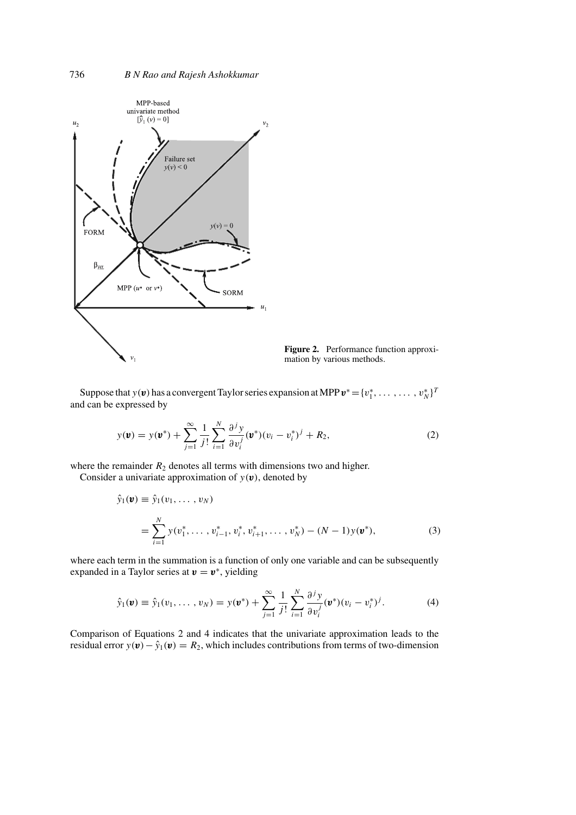

**Figure 2.** Performance function approximation by various methods.

Suppose that y(v) has a convergent Taylor series expansion at MPP  $v^* = \{v_1^*, \ldots, \ldots, v_N^*\}^T$ and can be expressed by

$$
y(\mathbf{v}) = y(\mathbf{v}^*) + \sum_{j=1}^{\infty} \frac{1}{j!} \sum_{i=1}^{N} \frac{\partial^j y}{\partial v_i^j} (\mathbf{v}^*)(v_i - v_i^*)^j + R_2,
$$
 (2)

where the remainder  $R_2$  denotes all terms with dimensions two and higher.

Consider a univariate approximation of  $y(v)$ , denoted by

$$
\hat{y}_1(\mathbf{v}) \equiv \hat{y}_1(v_1, \dots, v_N)
$$
\n
$$
= \sum_{i=1}^N y(v_1^*, \dots, v_{i-1}^*, v_i^*, v_{i+1}^*, \dots, v_N^*) - (N-1)y(\mathbf{v}^*),
$$
\n(3)

where each term in the summation is a function of only one variable and can be subsequently expanded in a Taylor series at  $v = v^*$ , yielding

$$
\hat{y}_1(\mathbf{v}) \equiv \hat{y}_1(v_1, \dots, v_N) = y(\mathbf{v}^*) + \sum_{j=1}^{\infty} \frac{1}{j!} \sum_{i=1}^N \frac{\partial^j y}{\partial v_i^j} (\mathbf{v}^*)(v_i - v_i^*)^j.
$$
 (4)

Comparison of Equations 2 and 4 indicates that the univariate approximation leads to the residual error  $y(\mathbf{v}) - \hat{y}_1(\mathbf{v}) = R_2$ , which includes contributions from terms of two-dimension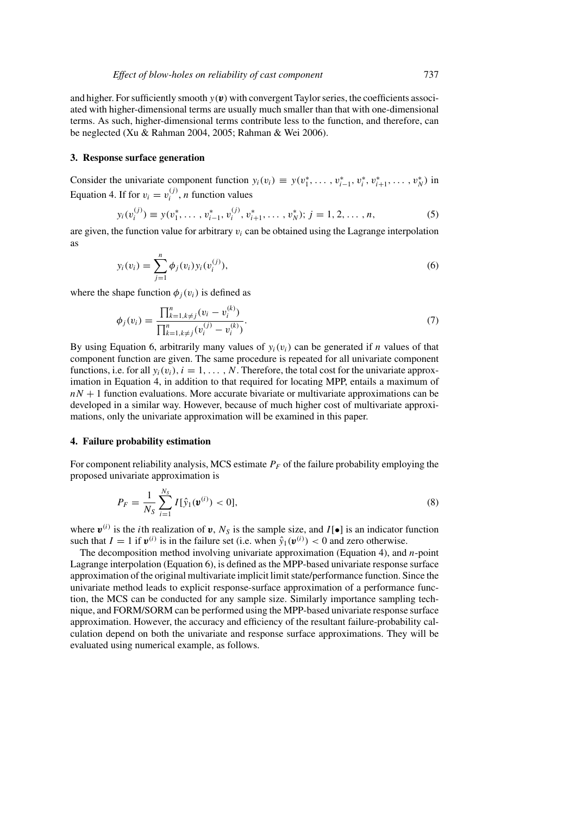and higher. For sufficiently smooth  $y(v)$  with convergent Taylor series, the coefficients associated with higher-dimensional terms are usually much smaller than that with one-dimensional terms. As such, higher-dimensional terms contribute less to the function, and therefore, can be neglected (Xu & Rahman 2004, 2005; Rahman & Wei 2006).

#### **3. Response surface generation**

Consider the univariate component function  $y_i(v_i) \equiv y(v_1^*, \ldots, v_{i-1}^*, v_i^*, v_{i+1}^*, \ldots, v_N^*)$  in Equation 4. If for  $v_i = v_i^{(j)}$ , *n* function values

$$
y_i(v_i^{(j)}) \equiv y(v_1^*, \dots, v_{i-1}^*, v_i^{(j)}, v_{i+1}^*, \dots, v_N^*); j = 1, 2, \dots, n,
$$
\n<sup>(5)</sup>

are given, the function value for arbitrary  $v_i$  can be obtained using the Lagrange interpolation as

$$
y_i(v_i) = \sum_{j=1}^n \phi_j(v_i) y_i(v_i^{(j)}),
$$
\n(6)

where the shape function  $\phi_i(v_i)$  is defined as

$$
\phi_j(v_i) = \frac{\prod_{k=1, k \neq j}^n (v_i - v_i^{(k)})}{\prod_{k=1, k \neq j}^n (v_i^{(j)} - v_i^{(k)})}.
$$
\n(7)

By using Equation 6, arbitrarily many values of  $y_i(v_i)$  can be generated if n values of that component function are given. The same procedure is repeated for all univariate component functions, i.e. for all  $y_i(v_i)$ ,  $i = 1, \ldots, N$ . Therefore, the total cost for the univariate approximation in Equation 4, in addition to that required for locating MPP, entails a maximum of  $nN + 1$  function evaluations. More accurate bivariate or multivariate approximations can be developed in a similar way. However, because of much higher cost of multivariate approximations, only the univariate approximation will be examined in this paper.

#### **4. Failure probability estimation**

For component reliability analysis, MCS estimate  $P_F$  of the failure probability employing the proposed univariate approximation is

$$
P_F = \frac{1}{N_S} \sum_{i=1}^{N_S} I[\hat{y}_1(\boldsymbol{v}^{(i)}) < 0],\tag{8}
$$

where  $v^{(i)}$  is the *i*th realization of v,  $N_S$  is the sample size, and  $I[\bullet]$  is an indicator function such that  $I = 1$  if  $v^{(i)}$  is in the failure set (i.e. when  $\hat{y}_1(v^{(i)}) < 0$  and zero otherwise.

The decomposition method involving univariate approximation (Equation 4), and n-point Lagrange interpolation (Equation 6), is defined as the MPP-based univariate response surface approximation of the original multivariate implicit limit state/performance function. Since the univariate method leads to explicit response-surface approximation of a performance function, the MCS can be conducted for any sample size. Similarly importance sampling technique, and FORM/SORM can be performed using the MPP-based univariate response surface approximation. However, the accuracy and efficiency of the resultant failure-probability calculation depend on both the univariate and response surface approximations. They will be evaluated using numerical example, as follows.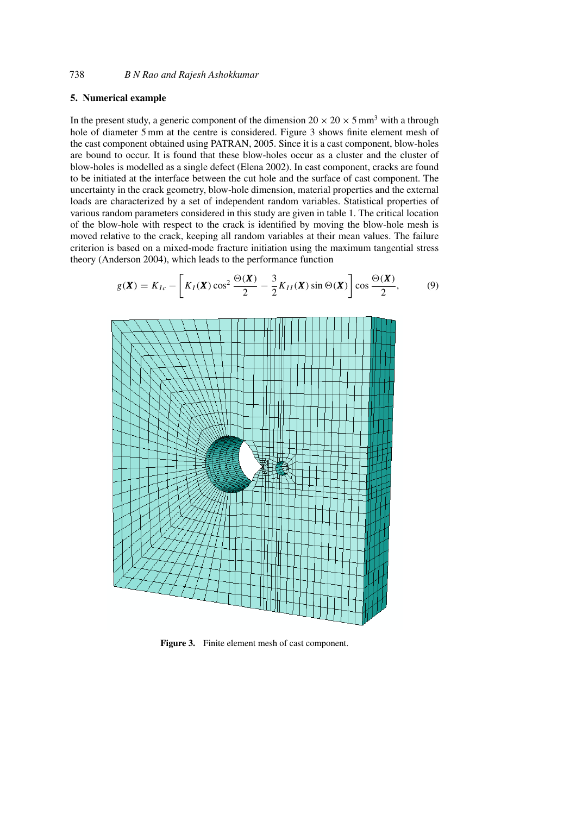## **5. Numerical example**

In the present study, a generic component of the dimension  $20 \times 20 \times 5$  mm<sup>3</sup> with a through hole of diameter 5 mm at the centre is considered. Figure 3 shows finite element mesh of the cast component obtained using PATRAN, 2005. Since it is a cast component, blow-holes are bound to occur. It is found that these blow-holes occur as a cluster and the cluster of blow-holes is modelled as a single defect (Elena 2002). In cast component, cracks are found to be initiated at the interface between the cut hole and the surface of cast component. The uncertainty in the crack geometry, blow-hole dimension, material properties and the external loads are characterized by a set of independent random variables. Statistical properties of various random parameters considered in this study are given in table 1. The critical location of the blow-hole with respect to the crack is identified by moving the blow-hole mesh is moved relative to the crack, keeping all random variables at their mean values. The failure criterion is based on a mixed-mode fracture initiation using the maximum tangential stress theory (Anderson 2004), which leads to the performance function

$$
g(\boldsymbol{X}) = K_{Ic} - \left[K_I(\boldsymbol{X})\cos^2\frac{\Theta(\boldsymbol{X})}{2} - \frac{3}{2}K_{II}(\boldsymbol{X})\sin\Theta(\boldsymbol{X})\right]\cos\frac{\Theta(\boldsymbol{X})}{2},\tag{9}
$$



**Figure 3.** Finite element mesh of cast component.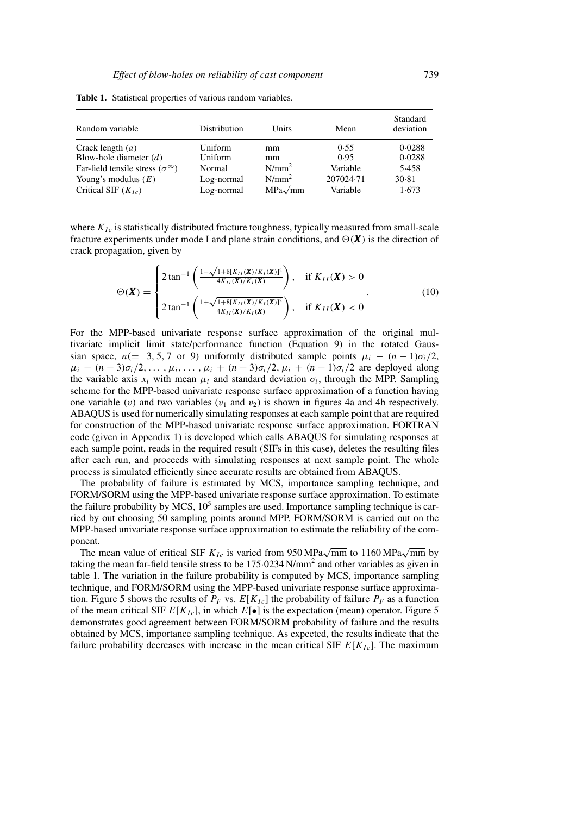| Random variable                                | Distribution | Units          | Mean      | Standard<br>deviation |
|------------------------------------------------|--------------|----------------|-----------|-----------------------|
| Crack length $(a)$                             | Uniform      | mm             | 0.55      | 0.0288                |
| Blow-hole diameter $(d)$                       | Uniform      | mm             | 0.95      | 0.0288                |
| Far-field tensile stress ( $\sigma^{\infty}$ ) | Normal       | $N/mm^2$       | Variable  | 5.458                 |
| Young's modulus $(E)$                          | Log-normal   | $N/mm^2$       | 207024.71 | 30.81                 |
| Critical SIF $(K_{Ic})$                        | Log-normal   | $MPa\sqrt{mm}$ | Variable  | 1.673                 |

**Table 1.** Statistical properties of various random variables.

where  $K_{Ic}$  is statistically distributed fracture toughness, typically measured from small-scale fracture experiments under mode I and plane strain conditions, and  $\Theta(\boldsymbol{X})$  is the direction of crack propagation, given by

$$
\Theta(\boldsymbol{X}) = \begin{cases} 2 \tan^{-1} \left( \frac{1 - \sqrt{1 + 8[K_{II}(\boldsymbol{X})/K_I(\boldsymbol{X})]^2}}{4K_{II}(\boldsymbol{X})/K_I(\boldsymbol{X})} \right), & \text{if } K_{II}(\boldsymbol{X}) > 0 \\ 2 \tan^{-1} \left( \frac{1 + \sqrt{1 + 8[K_{II}(\boldsymbol{X})/K_I(\boldsymbol{X})]^2}}{4K_{II}(\boldsymbol{X})/K_I(\boldsymbol{X})} \right), & \text{if } K_{II}(\boldsymbol{X}) < 0 \end{cases}
$$
(10)

For the MPP-based univariate response surface approximation of the original multivariate implicit limit state/performance function (Equation 9) in the rotated Gaussian space,  $n(= 3, 5, 7 \text{ or } 9)$  uniformly distributed sample points  $\mu_i - (n-1)\sigma_i/2$ ,  $\mu_i$  –  $(n-3)\sigma_i/2,\ldots,\mu_i,\ldots,\mu_i+(n-3)\sigma_i/2,\mu_i+(n-1)\sigma_i/2$  are deployed along the variable axis  $x_i$  with mean  $\mu_i$  and standard deviation  $\sigma_i$ , through the MPP. Sampling scheme for the MPP-based univariate response surface approximation of a function having one variable (v) and two variables ( $v_1$  and  $v_2$ ) is shown in figures 4a and 4b respectively. ABAQUS is used for numerically simulating responses at each sample point that are required for construction of the MPP-based univariate response surface approximation. FORTRAN code (given in Appendix 1) is developed which calls ABAQUS for simulating responses at each sample point, reads in the required result (SIFs in this case), deletes the resulting files after each run, and proceeds with simulating responses at next sample point. The whole process is simulated efficiently since accurate results are obtained from ABAQUS.

The probability of failure is estimated by MCS, importance sampling technique, and FORM/SORM using the MPP-based univariate response surface approximation. To estimate the failure probability by MCS,  $10<sup>5</sup>$  samples are used. Importance sampling technique is carried by out choosing 50 sampling points around MPP. FORM/SORM is carried out on the MPP-based univariate response surface approximation to estimate the reliability of the component.

The mean value of critical SIF  $K_{Ic}$  is varied from 950 MPa $\sqrt{mm}$  to 1160 MPa $\sqrt{mm}$  by taking the mean far-field tensile stress to be  $175.0234 \text{ N/mm}^2$  and other variables as given in table 1. The variation in the failure probability is computed by MCS, importance sampling technique, and FORM/SORM using the MPP-based univariate response surface approximation. Figure 5 shows the results of  $P_F$  vs.  $E[K_{1c}]$  the probability of failure  $P_F$  as a function of the mean critical SIF  $E[K_{lc}]$ , in which  $E[\bullet]$  is the expectation (mean) operator. Figure 5 demonstrates good agreement between FORM/SORM probability of failure and the results obtained by MCS, importance sampling technique. As expected, the results indicate that the failure probability decreases with increase in the mean critical SIF  $E[K_{lc}]$ . The maximum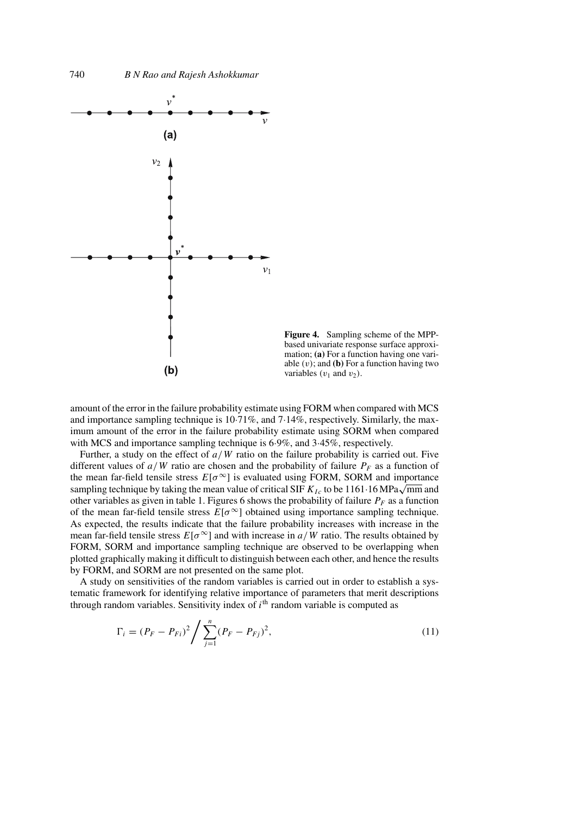

**Figure 4.** Sampling scheme of the MPPbased univariate response surface approximation; **(a)** For a function having one variable  $(v)$ ; and  $(b)$  For a function having two variables  $(v_1$  and  $v_2)$ .

amount of the error in the failure probability estimate using FORM when compared with MCS and importance sampling technique is 10·71%, and 7·14%, respectively. Similarly, the maximum amount of the error in the failure probability estimate using SORM when compared with MCS and importance sampling technique is 6.9%, and 3.45%, respectively.

Further, a study on the effect of  $a/W$  ratio on the failure probability is carried out. Five different values of  $a/W$  ratio are chosen and the probability of failure  $P_F$  as a function of the mean far-field tensile stress  $E[\sigma^{\infty}]$  is evaluated using FORM, SORM and importance sampling technique by taking the mean value of critical SIF  $K_{Ic}$  to be 1161·16 MPa $\sqrt{mm}$  and other variables as given in table 1. Figures 6 shows the probability of failure  $P_F$  as a function of the mean far-field tensile stress  $E[\sigma^{\infty}]$  obtained using importance sampling technique. As expected, the results indicate that the failure probability increases with increase in the mean far-field tensile stress  $E[\sigma^{\infty}]$  and with increase in  $a/W$  ratio. The results obtained by FORM, SORM and importance sampling technique are observed to be overlapping when plotted graphically making it difficult to distinguish between each other, and hence the results by FORM, and SORM are not presented on the same plot.

A study on sensitivities of the random variables is carried out in order to establish a systematic framework for identifying relative importance of parameters that merit descriptions through random variables. Sensitivity index of  $i<sup>th</sup>$  random variable is computed as

$$
\Gamma_i = (P_F - P_{Fi})^2 / \sum_{j=1}^n (P_F - P_{Fj})^2,
$$
\n(11)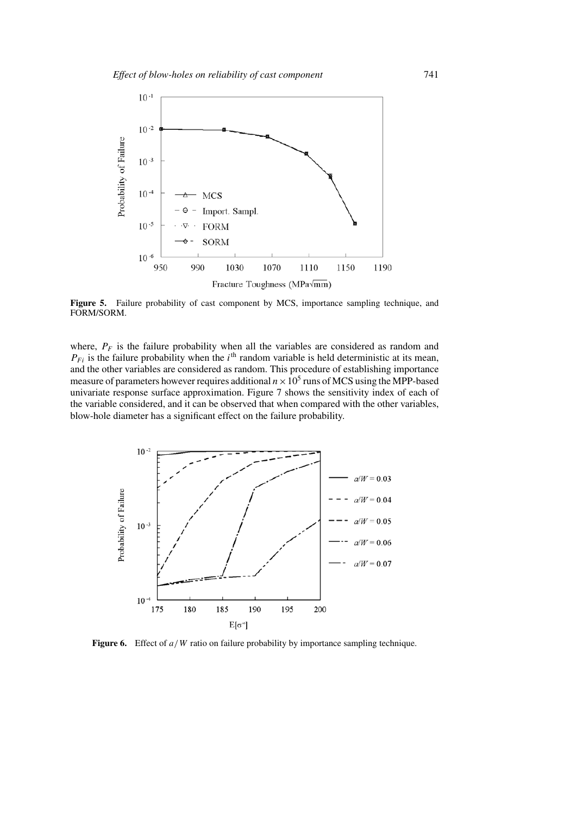

**Figure 5.** Failure probability of cast component by MCS, importance sampling technique, and FORM/SORM.

where,  $P_F$  is the failure probability when all the variables are considered as random and  $P_{Fi}$  is the failure probability when the i<sup>th</sup> random variable is held deterministic at its mean, and the other variables are considered as random. This procedure of establishing importance measure of parameters however requires additional  $n \times 10^5$  runs of MCS using the MPP-based univariate response surface approximation. Figure 7 shows the sensitivity index of each of the variable considered, and it can be observed that when compared with the other variables, blow-hole diameter has a significant effect on the failure probability.



**Figure 6.** Effect of  $a/W$  ratio on failure probability by importance sampling technique.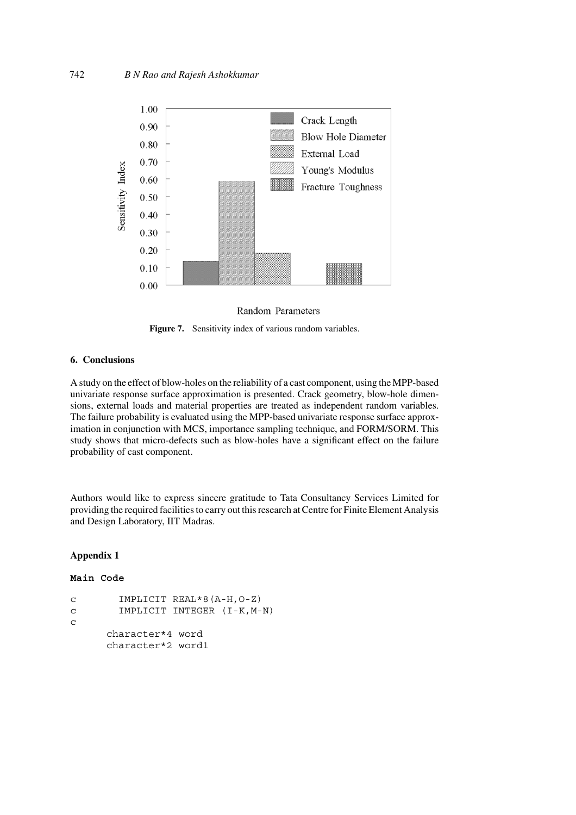

Random Parameters

**Figure 7.** Sensitivity index of various random variables.

## **6. Conclusions**

A study on the effect of blow-holes on the reliability of a cast component, using the MPP-based univariate response surface approximation is presented. Crack geometry, blow-hole dimensions, external loads and material properties are treated as independent random variables. The failure probability is evaluated using the MPP-based univariate response surface approximation in conjunction with MCS, importance sampling technique, and FORM/SORM. This study shows that micro-defects such as blow-holes have a significant effect on the failure probability of cast component.

Authors would like to express sincere gratitude to Tata Consultancy Services Limited for providing the required facilities to carry out this research at Centre for Finite Element Analysis and Design Laboratory, IIT Madras.

## **Appendix 1**

## **Main Code**

```
c IMPLICIT REAL*8(A-H,O-Z)
c IMPLICIT INTEGER (I-K,M-N)
c
     character*4 word
     character*2 word1
```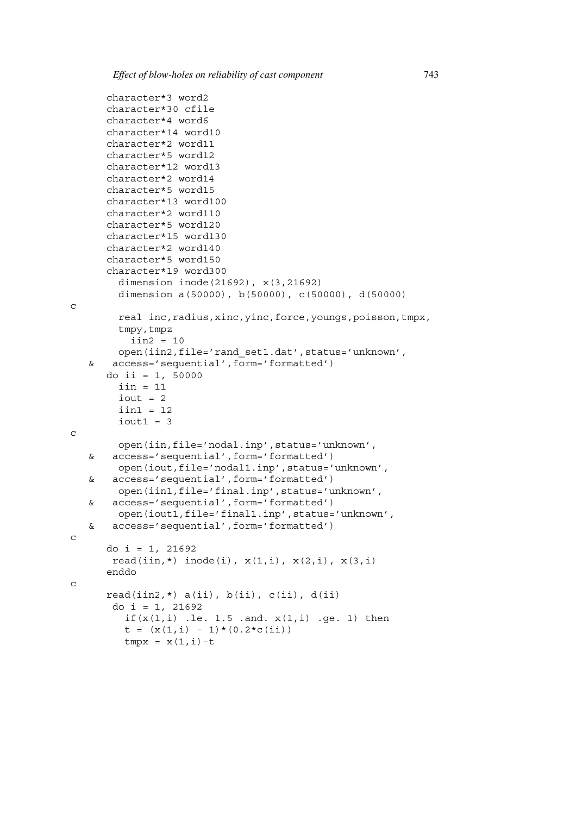$\mathcal{C}$ 

c

c

 $\Gamma$ 

```
character*3 word2
  character*30 cfile
  character*4 word6
  character*14 word10
  character*2 word11
  character*5 word12
  character*12 word13
  character*2 word14
  character*5 word15
  character*13 word100
  character*2 word110
  character*5 word120
  character*15 word130
  character*2 word140
  character*5 word150
  character*19 word300
     dimension inode(21692), x(3,21692)
     dimension a(50000), b(50000), c(50000), d(50000)
     real inc,radius,xinc,yinc,force,youngs,poisson,tmpx,
     tmpy,tmpz
      iin2 = 10
    open(iin2,file='rand_set1.dat',status='unknown',
& access='sequential',form='formatted')
  do ii = 1, 50000
     iin = 11
     iout = 2
     iin1 = 12
     iout1 = 3open(iin,file='nodal.inp',status='unknown',
& access='sequential',form='formatted')
    open(iout,file='nodal1.inp',status='unknown',
& access='sequential',form='formatted')
    open(iin1,file='final.inp',status='unknown',
& access='sequential',form='formatted')
    open(iout1,file='final1.inp',status='unknown',
& access='sequential',form='formatted')
  do i = 1, 21692
   read(iin, *) inode(i), x(1,i), x(2,i), x(3,i)enddo
  read(iin2,*) a(i), b(i), c(i), d(i)do i = 1, 21692if(x(1,i) .le. 1.5 .and. x(1,i) .ge. 1) then
     t = (x(1,i) - 1)*(0.2*c(ii))tmpx = x(1,i)-t
```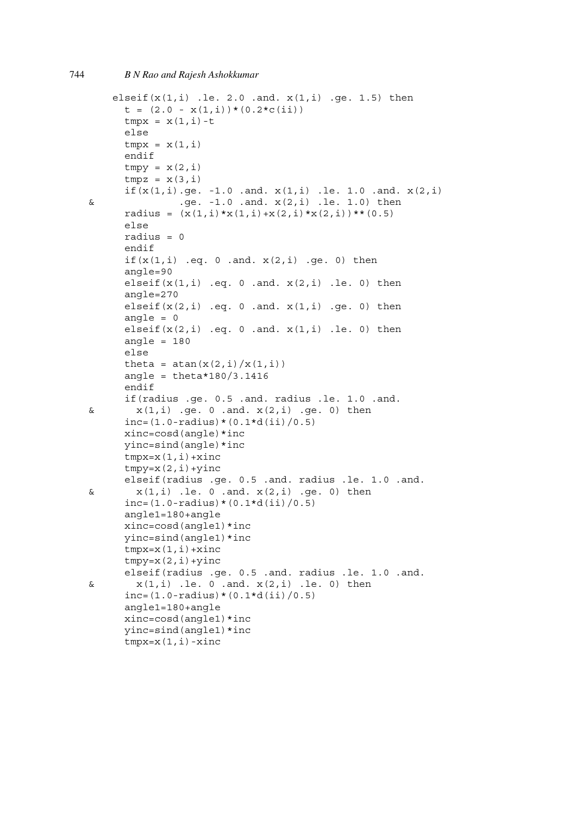```
elseif(x(1,i) .le. 2.0 .and. x(1,i) .ge. 1.5) then
     t = (2.0 - x(1,i)) * (0.2 * c(ii))tmpx = x(1,i)-telse
     tmpx = x(1,i)endif
     tmpy = x(2,i)tmpz = x(3,i)if(x(1,i).ge. -1.0.and. x(1,i).le. 1.0.and. x(2,i)\& .ge. -1.0 .and. x(2,i) .le. 1.0) then
     radius = (x(1,i)*x(1,i)+x(2,i)*x(2,i))**(0.5)else
     radius = 0endif
     if(x(1,i) .eq. 0 .and. x(2,i) .ge. 0) then
     angle=90
     elseif(x(1,i) .eq. 0 .and. x(2,i) .le. 0) then
     angle=270
     elseif(x(2,i) .eq. 0 .and. x(1,i) .ge. 0) then
     angle = 0elseif(x(2,i) .eq. 0 .and. x(1,i) .le. 0) then
     angle = 180
     else
     theta = atan(x(2,i)/x(1,i))angle = theta*180/3.1416endif
     if(radius .ge. 0.5 .and. radius .le. 1.0 .and.
x(1,i) .ge. 0 .and. x(2,i) .ge. 0) then
     inc = (1.0 - radius) * (0.1 * d(ii) / 0.5)xinc=cosd(angle)*inc
     yinc=sind(angle)*inc
     tmpx=x(1,i)+xinctmpy=x(2,i)+yincelseif(radius .ge. 0.5 .and. radius .le. 1.0 .and.
x(1,i) .le. 0 .and. x(2,i) .ge. 0) then
     inc=(1.0-radius)*(0.1*d(ii)/0.5)angle1=180+angle
     xinc=cosd(angle1)*inc
     yinc=sind(angle1)*inc
     tmpx=x(1,i)+xinctmpy=x(2,i)+yincelseif(radius .ge. 0.5 .and. radius .le. 1.0 .and.
x(1,i) .le. 0 .and. x(2,i) .le. 0) then
     inc = (1.0 - radius) * (0.1 * d(ii) / 0.5)angle1=180+angle
     xinc=cosd(angle1)*inc
     yinc=sind(angle1)*inc
     tmpx=x(1,i)-xinc
```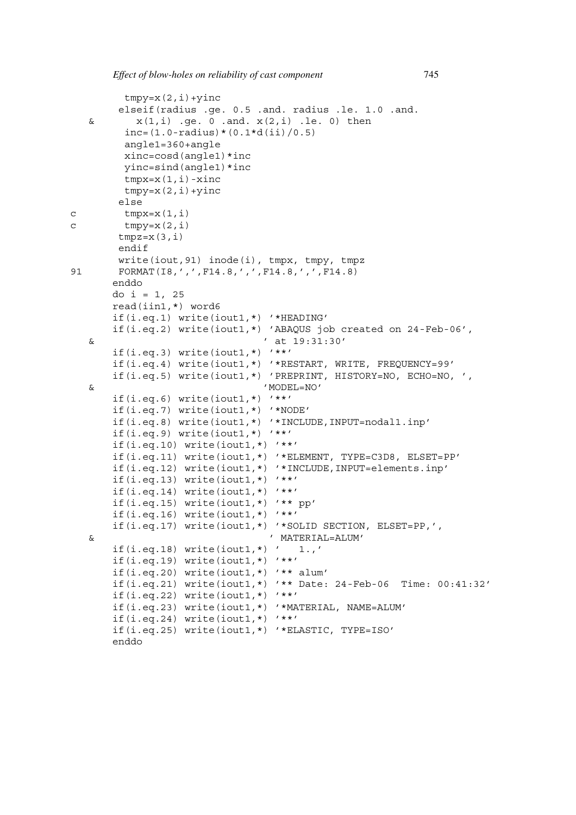```
tmpy=x(2,i)+yincelseif(radius .ge. 0.5 .and. radius .le. 1.0 .and.
  x(1,i) .ge. 0 .and. x(2,i) .le. 0) then
        inc = (1.0 - radius) * (0.1 * d(ii) / 0.5)angle1=360+angle
        xinc=cosd(angle1)*inc
        yinc=sind(angle1)*inc
        tmpx=x(1,i)-xinctmpy=x(2,i)+yincelse
c tmpx=x(1,i)c tmpy=x(2,i)tmpz=x(3,i)endif
       write(iout,91) inode(i), tmpx, tmpy, tmpz
91   FORMAT(I8,',',F14.8,',',F14.8,',',F14.8)
      enddo
      do i = 1, 25read(iin1,*) word6
      if(i.eq.1) write(iout1,*) '*HEADING'
      if(i.eq.2) write(iout1,*) 'ABAQUS job created on 24-Feb-06',
  & ' at 19:31:30'
      if(i.eq.3) write(iout1,*) '**'
      if(i.eq.4) write(iout1,*) '*RESTART, WRITE, FREQUENCY=99'
      if(i.eq.5) write(iout1,*) 'PREPRINT, HISTORY=NO, ECHO=NO, ',
  & 'MODEL=NO'
      if(i.eq.6) write(iout1,*) '**'
      if(i.eq.7) write(iout1,*) '*NODE'
      if(i.eq.8) write(iout1,*) '*INCLUDE,INPUT=nodal1.inp'
      if(i.eq.9) write(iout1,*) '**'
      if(i.eq.10) write(iout1,*) '**'
      if(i.eq.11) write(iout1,*) '*ELEMENT, TYPE=C3D8, ELSET=PP'
      if(i.eq.12) write(iout1,*) '*INCLUDE,INPUT=elements.inp'
      if(i.eq.13) write(iout1,*) '**'if(i.eq.14) write(iout1,*) '**'
      if(i.eq.15) write(iout1,*) '** pp'
      if(i.eq.16) write(iout1,*) '**'
      if(i.eq.17) write(iout1,*) '*SOLID SECTION, ELSET=PP,',
  & ' MATERIAL=ALUM'
      if(i.eq.18) write(iout1,*) ' 1.,'
      if(i.eq.19) write(iout1,*) '**'
      if(i.eq.20) write(iout1,*) '** alum'
      if(i.eq.21) write(iout1,*) '** Date: 24-Feb-06 Time: 00:41:32'
      if(i.eq.22) write(iout1,*) '**'
      if(i.eq.23) write(iout1,*) '*MATERIAL, NAME=ALUM'
      if(i.eq.24) write(iout1,*) '**'
      if(i.eq.25) write(iout1,*) '*ELASTIC, TYPE=ISO'
      enddo
```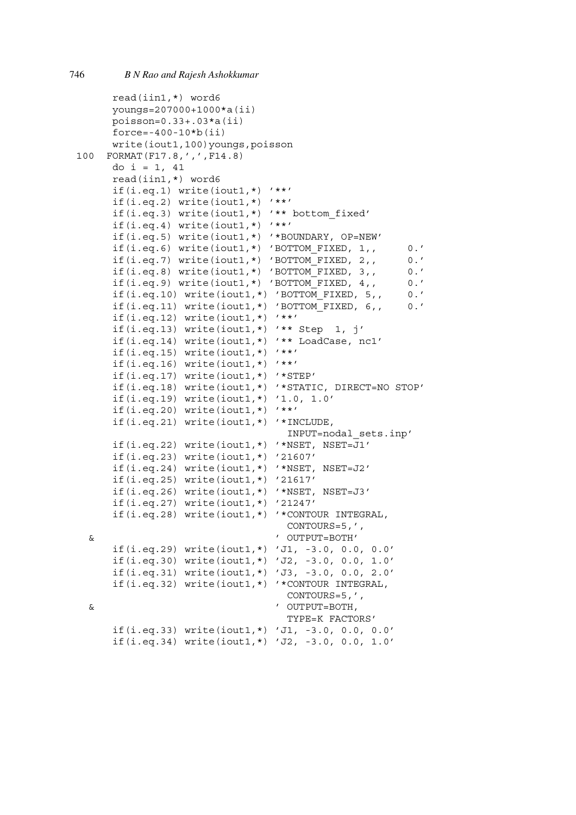```
read(iin1,*) word6
     youngs=207000+1000*a(ii)
     poisson=0.33+.03*a(ii)
     force=-400-10*b(iii)write(iout1,100)youngs,poisson
100 FORMAT(F17.8,',',F14.8)
     do i = 1, 41read(iin1,*) word6
     if(i.eq.1) write(iout1,*) '**'
     if(i.eq.2) write(iout1,*) '**'
     if(i.eq.3) write(iout1,*) '** bottom_fixed'
     if(i.eq.4) write(iout1,*) '**'
     if(i.eq.5) write(iout1,*) '*BOUNDARY, OP=NEW'
     if(i.eq.6) write(iout1,*) 'BOTTOM_FIXED, 1,, 0.'
     if(i.eq.7) write(iout1,*) 'BOTTOM_FIXED, 2,, 0.'
     if(i.eq.8) write(iout1,*) 'BOTTOM_FIXED, 3,, 0.'
     if(i.eq.9) write(iout1,*) 'BOTTOM_FIXED, 4,, 0.'
     if(i.eq.10) write(iout1,*) 'BOTTOM_FIXED, 5,, 0.'
     if(i.eq.11) write(iout1,*) 'BOTTOM_FIXED, 6,, 0.'
     if(i.eq.12) write(iout1,*) '**'
     if(i.eq.13) write(iout1,*) '** Step 1, j'if(i.eq.14) write(iout1,*) '** LoadCase, nc1'
     if(i.eq.15) write(iout1,*) '**'
     if(i.eq.16) write(iout1,*) '**'
     if(i.eq.17) write(iout1,*) '*STEP'
     if(i.eq.18) write(iout1,*) '*STATIC, DIRECT=NO STOP'
     if(i.eq.19) write(iout1,*) '1.0, 1.0'
     if(i.eq.20) write(iout1,*) '**'
     if(i.eq.21) write(iout1,*) '*INCLUDE,
                                  INPUT=nodal_sets.inp'
     if(i.eq.22) write(iout1,*) '*NSET, NSET=J1'
     if(i.eq.23) write(iout1,*) '21607'
     if(i.eq.24) write(iout1,*) '*NSET, NSET=J2'
     if(i.eq.25) write(iout1,*) '21617'
     if(i.eq.26) write(iout1,*) '*NSET, NSET=J3'
     if(i.eq.27) write(iout1,*) '21247'
     if(i.eq.28) write(iout1,*) '*CONTOUR INTEGRAL,
                                 CONTOURS=5,',
 & ' OUTPUT=BOTH'
     if(i.eq.29) write(iout1,*) 'J1, -3.0, 0.0, 0.0'
     if(i.eq.30) write(iout1,*) 'J2, -3.0, 0.0, 1.0'
     if(i.eq.31) write(iout1,*) 'J3, -3.0, 0.0, 2.0'
     if(i.eq.32) write(iout1,*) '*CONTOUR INTEGRAL,
                                 CONTOURS=5,',
 & ' OUTPUT=BOTH,
                                 TYPE=K FACTORS'
     if(i.eq.33) write(iout1,*) 'J1, -3.0, 0.0, 0.0'
     if(i.eq.34) write(iout1,*) 'J2, -3.0, 0.0, 1.0'
```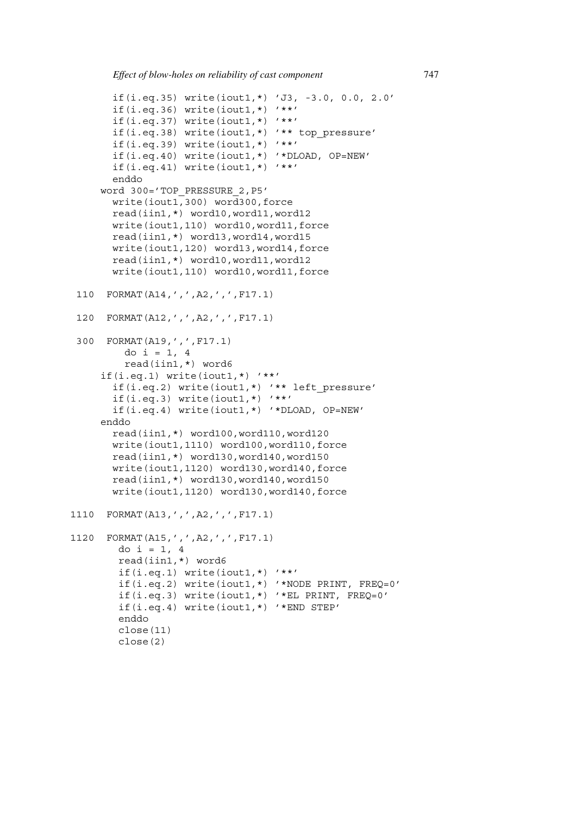```
if(i.eq.35) write(iout1,*) 'J3, -3.0, 0.0, 2.0'
       if(i.eq.36) write(iout1,*) '**'if(i.eq.37) write(iout1,*) '**'if(i.eq.38) write(iout1,*) '** top_pressure'
       if(i.eq.39) write(iout1,*) '**'
       if(i.eq.40) write(iout1,*) '*DLOAD, OP=NEW'
       if(i.eq.41) write(iout1,*) '**'
       enddo
     word 300='TOP_PRESSURE_2,P5'
       write(iout1,300) word300,force
       read(iin1,*) word10,word11,word12
       write(iout1,110) word10,word11,force
       read(iin1,*) word13,word14,word15
       write(iout1,120) word13,word14,force
       read(iin1,*) word10,word11,word12
      write(iout1,110) word10,word11,force
110 FORMAT(A14,',',A2,',',F17.1)
 120 FORMAT(A12,',',A2,',',F17.1)
300 FORMAT(A19,',',F17.1)
         do i = 1, 4read(iin1,*) word6
     if(i.eq.1) write(iout1,*) '**'
       if(i.eq.2) write(iout1,*) '** left_pressure'
       if(i.eq.3) write(iout1,*) '**'
       if(i.eq.4) write(iout1,*) '*DLOAD, OP=NEW'
     enddo
       read(iin1,*) word100,word110,word120
       write(iout1,1110) word100,word110,force
       read(iin1,*) word130,word140,word150
      write(iout1,1120) word130,word140,force
       read(iin1,*) word130,word140,word150
       write(iout1,1120) word130,word140,force
1110 FORMAT(A13,',',A2,',',F17.1)
1120 FORMAT(A15,',',A2,',',F17.1)
        do i = 1, 4read(iin1,*) word6
        if(i.eq.1) write(iout1,*) '**'
        if(i.eq.2) write(iout1,*) '*NODE PRINT, FREQ=0'
        if(i.eq.3) write(iout1,*) '*EL PRINT, FREQ=0'
        if(i.eq.4) write(iout1,*) '*END STEP'
        enddo
        close(11)
        close(2)
```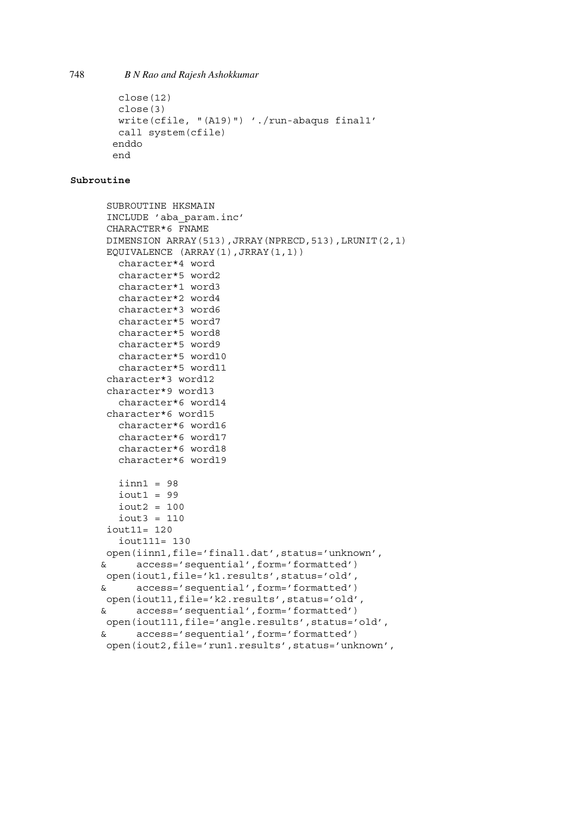```
close(12)
 close(3)
 write(cfile, "(A19)") './run-abaqus final1'
 call system(cfile)
enddo
end
```
#### **Subroutine**

```
SUBROUTINE HKSMAIN
INCLUDE 'aba_param.inc'
CHARACTER*6 FNAME
DIMENSION ARRAY(513),JRRAY(NPRECD,513),LRUNIT(2,1)
EQUIVALENCE (ARRAY(1),JRRAY(1,1))
  character*4 word
  character*5 word2
  character*1 word3
  character*2 word4
  character*3 word6
  character*5 word7
  character*5 word8
  character*5 word9
  character*5 word10
  character*5 word11
character*3 word12
character*9 word13
  character*6 word14
character*6 word15
  character*6 word16
  character*6 word17
  character*6 word18
  character*6 word19
   iinn1 = 98iout1 = 99iout2 = 100iout3 = 110
 iout11= 120
   iout111= 130
open(iinn1,file='final1.dat',status='unknown',
& access='sequential',form='formatted')
open(iout1,file='k1.results',status='old',
& access='sequential',form='formatted')
open(iout11,file='k2.results',status='old',
& access='sequential',form='formatted')
open(iout111,file='angle.results',status='old',
& access='sequential',form='formatted')
open(iout2,file='run1.results',status='unknown',
```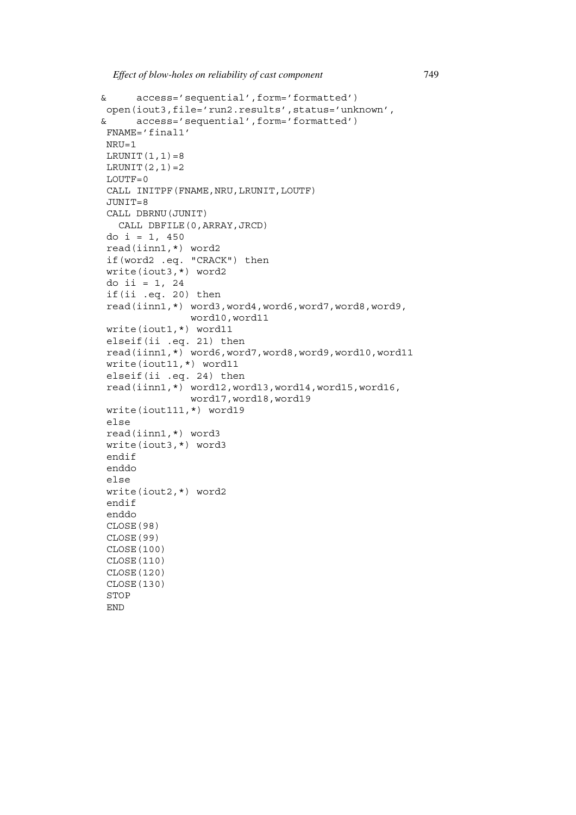```
& access='sequential',form='formatted')
open(iout3,file='run2.results',status='unknown',
& access='sequential',form='formatted')
FNAME='final1'
NRU=1
LRUNIT(1,1)=8LRUNIT(2,1)=2LOUTF=0
CALL INITPF(FNAME, NRU, LRUNIT, LOUTF)
JUNIT=8
CALL DBRNU(JUNIT)
  CALL DBFILE(0,ARRAY,JRCD)
do i = 1, 450read(iinn1,*) word2
if(word2 .eq. "CRACK") then
write(iout3,*) word2
do ii = 1, 24
if(ii .eq. 20) then
read(iinn1,*) word3,word4,word6,word7,word8,word9,
               word10,word11
write(iout1,*) word11
elseif(ii .eq. 21) then
read(iinn1,*) word6,word7,word8,word9,word10,word11
write(iout11,*) word11
elseif(ii .eq. 24) then
read(iinn1,*) word12,word13,word14,word15,word16,
               word17,word18,word19
write(iout111,*) word19
else
read(iinn1,*) word3
write(iout3,*) word3
endif
enddo
else
write(iout2,*) word2
endif
enddo
CLOSE(98)
CLOSE(99)
CLOSE(100)
CLOSE(110)
CLOSE(120)
CLOSE(130)
STOP
END
```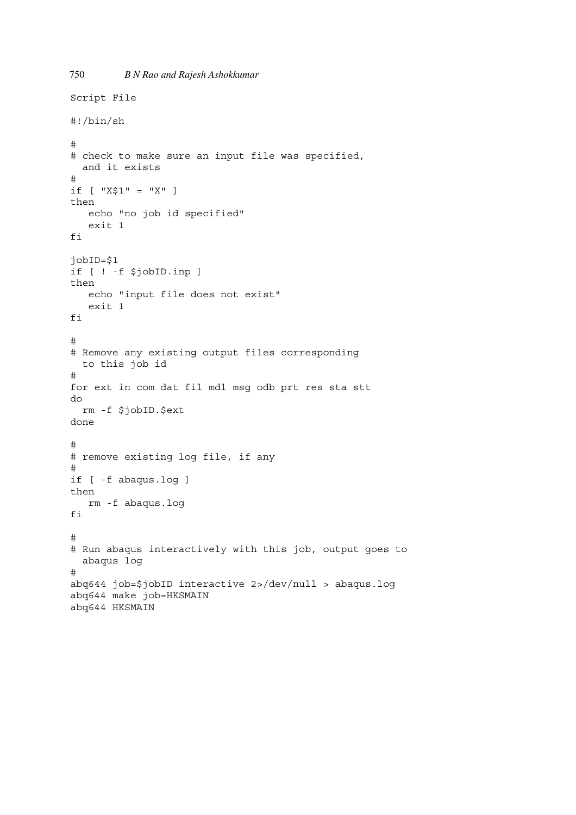```
750 B N Rao and Rajesh Ashokkumar
Script File
#!/bin/sh
#
# check to make sure an input file was specified,
 and it exists
#
if [ "X$1" = "X" ]
then
   echo "no job id specified"
   exit 1
fi
jobID=$1
if [ ! -f $jobID.inp ]
then
   echo "input file does not exist"
   exit 1
fi
#
# Remove any existing output files corresponding
  to this job id
#
for ext in com dat fil mdl msg odb prt res sta stt
do
  rm -f $jobID.$ext
done
#
# remove existing log file, if any
#
if [ -f abaqus.log ]
then
   rm -f abaqus.log
fi
#
# Run abaqus interactively with this job, output goes to
  abaqus log
#
abq644 job=$jobID interactive 2>/dev/null > abaqus.log
abq644 make job=HKSMAIN
abq644 HKSMAIN
```